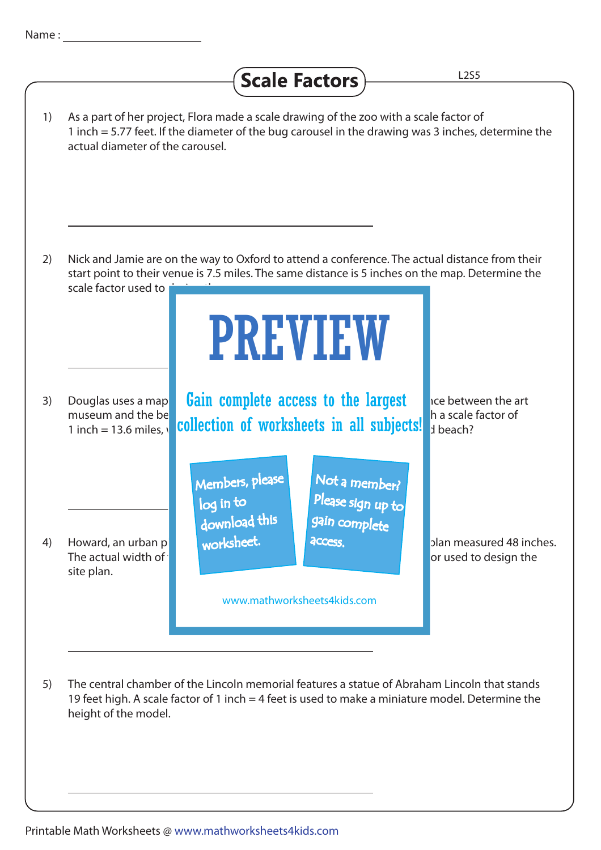## Scale Factors L2S5 1) As a part of her project, Flora made a scale drawing of the zoo with a scale factor of 1 inch = 5.77 feet. If the diameter of the bug carousel in the drawing was 3 inches, determine the actual diameter of the carousel. 2) Nick and Jamie are on the way to Oxford to attend a conference. The actual distance from their start point to their venue is 7.5 miles. The same distance is 5 inches on the map. Determine the scale factor used to PREVIEW 3) Douglas uses a map **Gain complete access to the largest** he between the art museum and the beach is  $\mathbf{f}$  included the map is defined with  $\mathbf{h}$  is defined with a scale factor of  $\frac{1}{1}$  inch = 13.6 miles, collection of worksheets in all subjects!  $\frac{1}{3}$  beach? Members, please Not a member? Please sign up to log in to download this gain complete worksheet. **access** 4) Howard, an urban planner derived a site planner drew a site plan measured 48 inches. The actual width of the road would be 108 feet. Determine the scale factor used to design the scale factor used to design the site plan. www.mathworksheets4kids.com 5) The central chamber of the Lincoln memorial features a statue of Abraham Lincoln that stands 19 feet high. A scale factor of 1 inch = 4 feet is used to make a miniature model. Determine the height of the model.